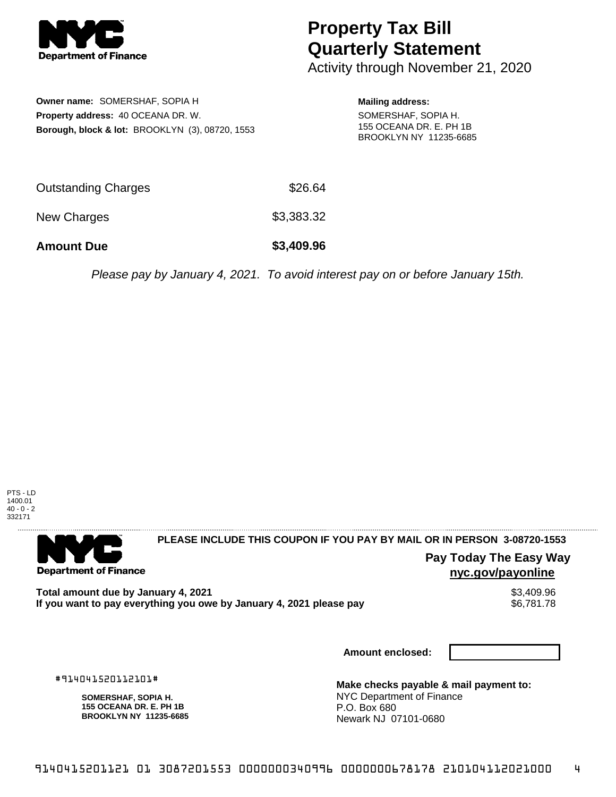

## **Property Tax Bill Quarterly Statement**

Activity through November 21, 2020

**Owner name:** SOMERSHAF, SOPIA H **Property address:** 40 OCEANA DR. W. **Borough, block & lot:** BROOKLYN (3), 08720, 1553

**Mailing address:** SOMERSHAF, SOPIA H. 155 OCEANA DR. E. PH 1B BROOKLYN NY 11235-6685

| <b>Amount Due</b>          | \$3,409.96 |
|----------------------------|------------|
| New Charges                | \$3,383.32 |
| <b>Outstanding Charges</b> | \$26.64    |

Please pay by January 4, 2021. To avoid interest pay on or before January 15th.



. . . . . . . . . . . . . . . . .

**Department of Finance** 

**PLEASE INCLUDE THIS COUPON IF YOU PAY BY MAIL OR IN PERSON 3-08720-1553** 

**Pay Today The Easy Way nyc.gov/payonline**

Total amount due by January 4, 2021<br>If you want to pay everything you owe by January 4, 2021 please pay **show that the set of the set of the set of** If you want to pay everything you owe by January 4, 2021 please pay

**Amount enclosed:**

#914041520112101#

**SOMERSHAF, SOPIA H. 155 OCEANA DR. E. PH 1B BROOKLYN NY 11235-6685**

**Make checks payable & mail payment to:** NYC Department of Finance P.O. Box 680 Newark NJ 07101-0680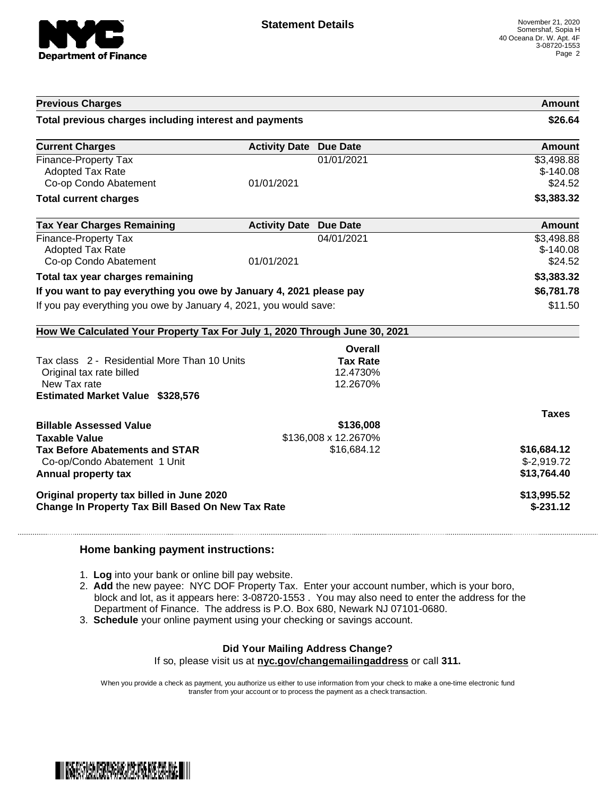

| <b>Previous Charges</b>                                                    |                               |                      | Amount       |
|----------------------------------------------------------------------------|-------------------------------|----------------------|--------------|
| Total previous charges including interest and payments                     |                               |                      | \$26.64      |
| <b>Current Charges</b>                                                     | <b>Activity Date Due Date</b> |                      | Amount       |
| Finance-Property Tax                                                       |                               | 01/01/2021           | \$3,498.88   |
| <b>Adopted Tax Rate</b>                                                    |                               |                      | $$-140.08$   |
| Co-op Condo Abatement                                                      | 01/01/2021                    |                      | \$24.52      |
| <b>Total current charges</b>                                               |                               |                      | \$3,383.32   |
| <b>Tax Year Charges Remaining</b>                                          | <b>Activity Date Due Date</b> |                      | Amount       |
| Finance-Property Tax                                                       |                               | 04/01/2021           | \$3,498.88   |
| <b>Adopted Tax Rate</b>                                                    |                               |                      | $$-140.08$   |
| Co-op Condo Abatement                                                      | 01/01/2021                    |                      | \$24.52      |
| Total tax year charges remaining                                           |                               |                      | \$3,383.32   |
| If you want to pay everything you owe by January 4, 2021 please pay        |                               | \$6,781.78           |              |
| If you pay everything you owe by January 4, 2021, you would save:          |                               | \$11.50              |              |
| How We Calculated Your Property Tax For July 1, 2020 Through June 30, 2021 |                               |                      |              |
|                                                                            |                               | Overall              |              |
| Tax class 2 - Residential More Than 10 Units                               |                               | <b>Tax Rate</b>      |              |
| Original tax rate billed                                                   |                               | 12.4730%             |              |
| New Tax rate                                                               |                               | 12.2670%             |              |
| <b>Estimated Market Value \$328,576</b>                                    |                               |                      |              |
|                                                                            |                               |                      | <b>Taxes</b> |
|                                                                            |                               |                      |              |
| <b>Billable Assessed Value</b>                                             |                               | \$136,008            |              |
| <b>Taxable Value</b>                                                       |                               | \$136,008 x 12.2670% |              |
| <b>Tax Before Abatements and STAR</b>                                      |                               | \$16,684.12          | \$16,684.12  |
| Co-op/Condo Abatement 1 Unit                                               |                               |                      | $$-2,919.72$ |
| Annual property tax                                                        |                               |                      | \$13,764.40  |
| Original property tax billed in June 2020                                  |                               |                      | \$13,995.52  |

## **Home banking payment instructions:**

- 1. **Log** into your bank or online bill pay website.
- 2. **Add** the new payee: NYC DOF Property Tax. Enter your account number, which is your boro, block and lot, as it appears here: 3-08720-1553 . You may also need to enter the address for the Department of Finance. The address is P.O. Box 680, Newark NJ 07101-0680.
- 3. **Schedule** your online payment using your checking or savings account.

## **Did Your Mailing Address Change?**

If so, please visit us at **nyc.gov/changemailingaddress** or call **311.**

When you provide a check as payment, you authorize us either to use information from your check to make a one-time electronic fund transfer from your account or to process the payment as a check transaction.